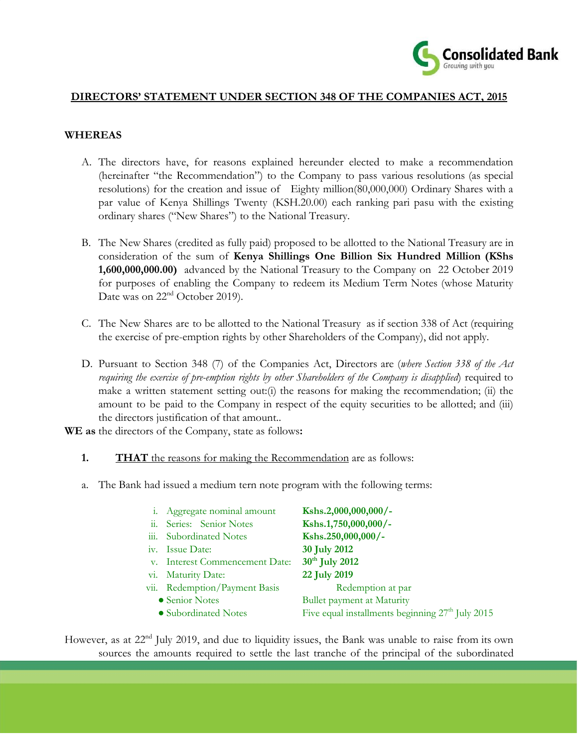

## **DIRECTORS' STATEMENT UNDER SECTION 348 OF THE COMPANIES ACT, 2015**

## **WHEREAS**

- A. The directors have, for reasons explained hereunder elected to make a recommendation (hereinafter "the Recommendation") to the Company to pass various resolutions (as special resolutions) for the creation and issue of Eighty million(80,000,000) Ordinary Shares with a par value of Kenya Shillings Twenty (KSH.20.00) each ranking pari pasu with the existing ordinary shares ("New Shares") to the National Treasury.
- B. The New Shares (credited as fully paid) proposed to be allotted to the National Treasury are in consideration of the sum of **Kenya Shillings One Billion Six Hundred Million (KShs 1,600,000,000.00)** advanced by the National Treasury to the Company on 22 October 2019 for purposes of enabling the Company to redeem its Medium Term Notes (whose Maturity Date was on 22<sup>nd</sup> October 2019).
- C. The New Shares are to be allotted to the National Treasury as if section 338 of Act (requiring the exercise of pre-emption rights by other Shareholders of the Company), did not apply.
- D. Pursuant to Section 348 (7) of the Companies Act, Directors are (*where Section 338 of the Act requiring the exercise of pre-emption rights by other Shareholders of the Company is disapplied*) required to make a written statement setting out: $(i)$  the reasons for making the recommendation;  $(ii)$  the amount to be paid to the Company in respect of the equity securities to be allotted; and (iii) the directors justification of that amount..

**WE as** the directors of the Company, state as follows**:**

- **1. THAT** the reasons for making the Recommendation are as follows:
- a. The Bank had issued a medium tern note program with the following terms:

|      | i. Aggregate nominal amount    | Kshs.2,000,000,000/-                                         |
|------|--------------------------------|--------------------------------------------------------------|
| ii.  | Series: Senior Notes           | Kshs.1,750,000,000/-                                         |
| iii. | <b>Subordinated Notes</b>      | Kshs.250,000,000/-                                           |
|      | iv. Issue Date:                | 30 July 2012                                                 |
|      | v. Interest Commencement Date: | 30 <sup>th</sup> July 2012                                   |
|      | vi. Maturity Date:             | 22 July 2019                                                 |
|      | vii. Redemption/Payment Basis  | Redemption at par                                            |
|      | • Senior Notes                 | <b>Bullet payment at Maturity</b>                            |
|      | • Subordinated Notes           | Five equal installments beginning 27 <sup>th</sup> July 2015 |

However, as at 22<sup>nd</sup> July 2019, and due to liquidity issues, the Bank was unable to raise from its own sources the amounts required to settle the last tranche of the principal of the subordinated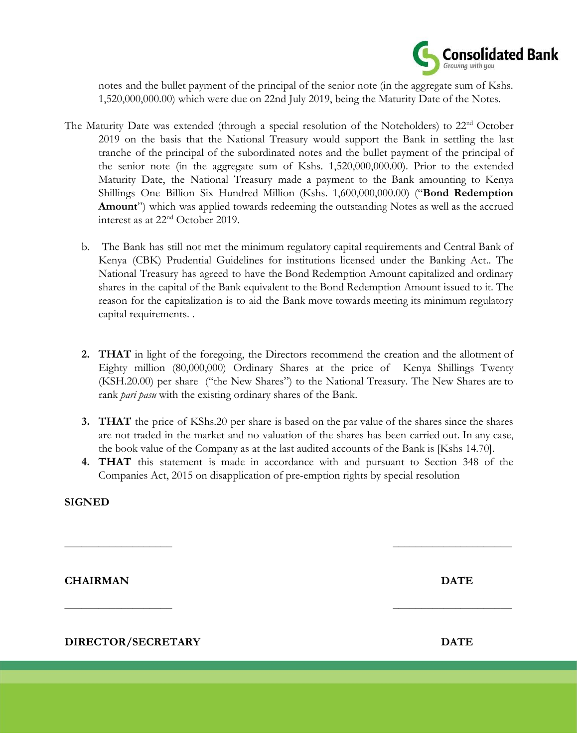

notes and the bullet payment of the principal of the senior note (in the aggregate sum of Kshs. 1,520,000,000.00) which were due on 22nd July 2019, being the Maturity Date of the Notes.

- The Maturity Date was extended (through a special resolution of the Noteholders) to 22<sup>nd</sup> October 2019 on the basis that the National Treasury would support the Bank in settling the last tranche of the principal of the subordinated notes and the bullet payment of the principal of the senior note (in the aggregate sum of Kshs. 1,520,000,000.00). Prior to the extended Maturity Date, the National Treasury made a payment to the Bank amounting to Kenya Shillings One Billion Six Hundred Million (Kshs. 1,600,000,000.00) ("**Bond Redemption Amount**") which was applied towards redeeming the outstanding Notes as well as the accrued interest as at 22nd October 2019.
	- b. The Bank has still not met the minimum regulatory capital requirements and Central Bank of Kenya (CBK) Prudential Guidelines for institutions licensed under the Banking Act.. The National Treasury has agreed to have the Bond Redemption Amount capitalized and ordinary shares in the capital of the Bank equivalent to the Bond Redemption Amount issued to it. The reason for the capitalization is to aid the Bank move towards meeting its minimum regulatory capital requirements. .
	- **2. THAT** in light of the foregoing, the Directors recommend the creation and the allotment of Eighty million (80,000,000) Ordinary Shares at the price of Kenya Shillings Twenty (KSH.20.00) per share ("the New Shares") to the National Treasury. The New Shares are to rank *pari pasu* with the existing ordinary shares of the Bank.
	- **3. THAT** the price of KShs.20 per share is based on the par value of the shares since the shares are not traded in the market and no valuation of the shares has been carried out. In any case, the book value of the Company as at the last audited accounts of the Bank is [Kshs 14.70].
	- **4. THAT** this statement is made in accordance with and pursuant to Section 348 of the Companies Act, 2015 on disapplication of pre-emption rights by special resolution

 $\overline{\phantom{a}}$  , and the contract of the contract of the contract of the contract of the contract of the contract of the contract of the contract of the contract of the contract of the contract of the contract of the contrac

 $\overline{\phantom{a}}$  , and the contract of the contract of the contract of the contract of the contract of the contract of the contract of the contract of the contract of the contract of the contract of the contract of the contrac

## **SIGNED**

**CHAIRMAN** DATE

**DIRECTOR/SECRETARY DATE**